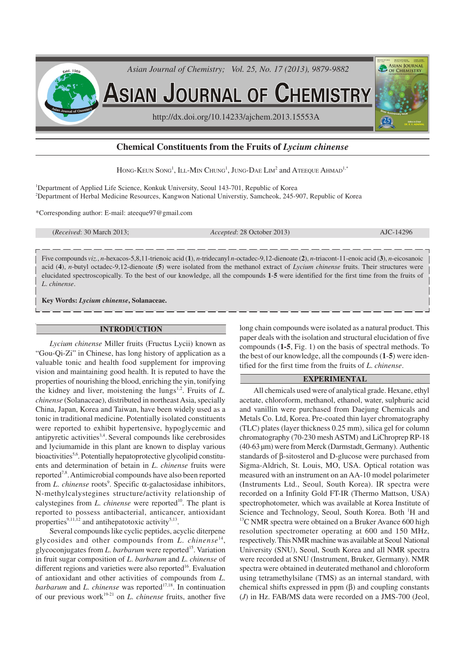

**ASIAN JOURNAL OF CHEMISTRY** 

http://dx.doi.org/10.14233/ajchem.2013.15553A

# **Chemical Constituents from the Fruits of** *Lycium chinense*

Hong-Keun Song<sup>1</sup>, Ill-Min Chung<sup>1</sup>, Jung-Dae Lim<sup>2</sup> and Ateeque Ahmad<sup>1,\*</sup>

<sup>1</sup>Department of Applied Life Science, Konkuk University, Seoul 143-701, Republic of Korea <sup>2</sup>Department of Herbal Medicine Resources, Kangwon National Universtiy, Samcheok, 245-907, Republic of Korea

\*Corresponding author: E-mail: ateeque97@gmail.com

(*Received*: 30 March 2013; *Accepted*: 28 October 2013) AJC-14296

ASIAN JOURNA

Five compounds *viz.*, *n*-hexacos-5,8,11-trienoic acid (**1**), *n*-tridecanyl *n*-octadec-9,12-dienoate (**2**), *n*-triacont-11-enoic acid (**3**), *n*-eicosanoic acid (**4**), *n*-butyl octadec-9,12-dienoate (**5**) were isolated from the methanol extract of *Lycium chinense* fruits. Their structures were elucidated spectroscopically. To the best of our knowledge, all the compounds **1**-**5** were identified for the first time from the fruits of *L*. *chinense*.

**Key Words:** *Lycium chinense***, Solanaceae.**

# **INTRODUCTION**

*Lycium chinense* Miller fruits (Fructus Lycii) known as "Gou-Qi-Zi" in Chinese, has long history of application as a valuable tonic and health food supplement for improving vision and maintaining good health. It is reputed to have the properties of nourishing the blood, enriching the yin, tonifying the kidney and liver, moistening the lungs<sup>1,2</sup>. Fruits of  $L$ . *chinense* (Solanaceae), distributed in northeast Asia, specially China, Japan, Korea and Taiwan, have been widely used as a tonic in traditional medicine. Potentially isolated constituents were reported to exhibit hypertensive, hypoglycemic and antipyretic activities<sup>3,4</sup>. Several compounds like cerebrosides and lyciumamide in this plant are known to display various bioactivities<sup>5,6</sup>. Potentially hepatoprotective glycolipid constituents and determination of betain in *L*. *chinense* fruits were reported<sup>7,8</sup>. Antimicrobial compounds have also been reported from *L. chinense* roots<sup>9</sup>. Specific α-galactosidase inhibitors, N-methylcalystegines structure/activity relationship of calystegines from *L. chinense* were reported<sup>10</sup>. The plant is reported to possess antibacterial, anticancer, antioxidant properties<sup>9,11,12</sup> and antihepatotoxic activity<sup>5,13</sup>.

Several compounds like cyclic peptides, acyclic diterpene glycosides and other compounds from *L*. *chinense*<sup>14</sup> , glycoconjugates from *L. barbarum* were reported<sup>15</sup>. Variation in fruit sugar composition of *L*. *barbarum* and *L*. *chinense* of different regions and varieties were also reported<sup>16</sup>. Evaluation of antioxidant and other activities of compounds from *L*. *barbarum* and *L. chinense* was reported<sup>17,18</sup>. In continuation of our previous work 19-21 on *L*. *chinense* fruits, another five

long chain compounds were isolated as a natural product. This paper deals with the isolation and structural elucidation of five compounds (**1-5**, Fig. 1) on the basis of spectral methods. To the best of our knowledge, all the compounds (**1**-**5**) were identified for the first time from the fruits of *L*. *chinense*.

#### **EXPERIMENTAL**

All chemicals used were of analytical grade. Hexane, ethyl acetate, chloroform, methanol, ethanol, water, sulphuric acid and vanillin were purchased from Daejung Chemicals and Metals Co. Ltd, Korea. Pre-coated thin layer chromatography (TLC) plates (layer thickness 0.25 mm), silica gel for column chromatography (70-230 mesh ASTM) and LiChroprep RP-18 (40-63 µm) were from Merck (Darmstadt, Germany). Authentic standards of β-sitosterol and D-glucose were purchased from Sigma-Aldrich, St. Louis, MO, USA. Optical rotation was measured with an instrument on an AA-10 model polarimeter (Instruments Ltd., Seoul, South Korea). IR spectra were recorded on a Infinity Gold FT-IR (Thermo Mattson, USA) spectrophotometer, which was available at Korea Institute of Science and Technology, Seoul, South Korea. Both <sup>1</sup>H and  $13<sup>13</sup>C NMR$  spectra were obtained on a Bruker Avance 600 high resolution spectrometer operating at 600 and 150 MHz, respectively. This NMR machine was available at Seoul National University (SNU), Seoul, South Korea and all NMR spectra were recorded at SNU (Instrument, Bruker, Germany). NMR spectra were obtained in deuterated methanol and chloroform using tetramethylsilane (TMS) as an internal standard, with chemical shifts expressed in ppm (β) and coupling constants (*J*) in Hz. FAB/MS data were recorded on a JMS-700 (Jeol,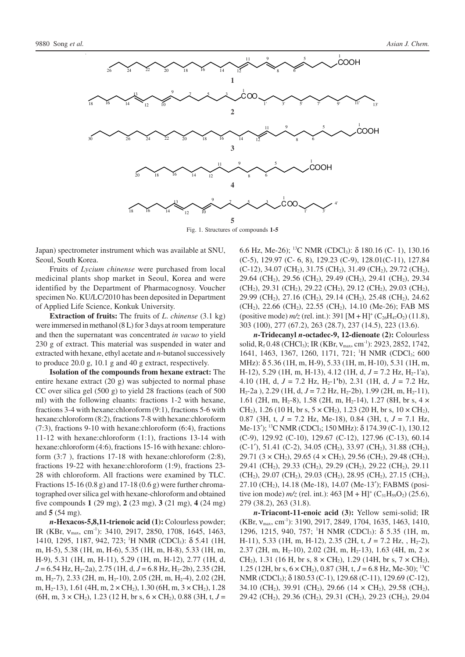

Fig. 1. Structures of compounds **1-5**

Japan) spectrometer instrument which was available at SNU, Seoul, South Korea.

Fruits of *Lycium chinense* were purchased from local medicinal plants shop market in Seoul, Korea and were identified by the Department of Pharmacognosy. Voucher specimen No. KU/LC/2010 has been deposited in Department of Applied Life Science, Konkuk University.

**Extraction of fruits:** The fruits of *L*. *chinense* (3.1 kg) were immersed in methanol (8 L) for 3 days at room temperature and then the supernatant was concentrated *in vacuo* to yield 230 g of extract. This material was suspended in water and extracted with hexane, ethyl acetate and *n*-butanol successively to produce 20.0 g, 10.1 g and 40 g extract, respectively.

**Isolation of the compounds from hexane extract:** The entire hexane extract (20 g) was subjected to normal phase CC over silica gel (500 g) to yield 28 fractions (each of 500 ml) with the following eluants: fractions 1-2 with hexane, fractions 3-4 with hexane:chloroform (9:1), fractions 5-6 with hexane:chloroform (8:2), fractions 7-8 with hexane:chloroform (7:3), fractions 9-10 with hexane:chloroform (6:4), fractions 11-12 with hexane:chloroform (1:1), fractions 13-14 with hexane:chloroform (4:6), fractions 15-16 with hexane: chloroform (3:7 ), fractions 17-18 with hexane:chloroform (2:8), fractions 19-22 with hexane:chloroform (1:9), fractions 23- 28 with chloroform. All fractions were examined by TLC. Fractions 15-16  $(0.8 \text{ g})$  and 17-18  $(0.6 \text{ g})$  were further chromatographed over silica gel with hexane-chloroform and obtained five compounds **1** (29 mg), **2** (23 mg), **3** (21 mg), **4** (24 mg) and **5** (54 mg).

*n***-Hexacos-5,8,11-trienoic acid (1):** Colourless powder; IR (KBr, ν<sub>max</sub>, cm<sup>-1</sup>): 3410, 2917, 2850, 1708, 1645, 1463, 1410, 1295, 1187, 942, 723; <sup>1</sup>H NMR (CDCl<sub>3</sub>): δ 5.41 (1H, m, H-5), 5.38 (1H, m, H-6), 5.35 (1H, m, H-8), 5.33 (1H, m, H-9), 5.31 (1H, m, H-11), 5.29 (1H, m, H-12), 2.77 (1H, d,  $J = 6.54$  Hz,  $H_2$ -2a), 2.75 (1H, d,  $J = 6.8$  Hz,  $H_2$ -2b), 2.35 (2H, m, H<sub>2</sub>-7), 2.33 (2H, m, H<sub>2</sub>-10), 2.05 (2H, m, H<sub>2</sub>-4), 2.02 (2H, m, H<sub>2</sub>-13), 1.61 (4H, m,  $2 \times CH_2$ ), 1.30 (6H, m,  $3 \times CH_2$ ), 1.28  $(6H, m, 3 \times CH_2)$ , 1.23 (12 H, br s,  $6 \times CH_2$ ), 0.88 (3H, t,  $J =$ 

6.6 Hz, Me-26); <sup>13</sup>C NMR (CDCl3): δ 180.16 (C- 1), 130.16 (C-5), 129.97 (C- 6, 8), 129.23 (C-9), 128.01(C-11), 127.84  $(C-12)$ , 34.07  $(CH_2)$ , 31.75  $(CH_2)$ , 31.49  $(CH_2)$ , 29.72  $(CH_2)$ , 29.64 (CH2), 29.56 (CH2), 29.49 (CH2), 29.41 (CH2), 29.34  $(CH<sub>2</sub>), 29.31$  (CH<sub>2</sub>), 29.22 (CH<sub>2</sub>), 29.12 (CH<sub>2</sub>), 29.03 (CH<sub>2</sub>), 29.99 (CH2), 27.16 (CH2), 29.14 (CH2), 25.48 (CH2), 24.62 (CH<sub>2</sub>), 22.66 (CH<sub>2</sub>), 22.55 (CH<sub>2</sub>), 14.10 (Me-26); FAB MS (positive mode)  $m/z$  (rel. int.): 391  $[M + H]^+$  (C<sub>26</sub>H<sub>47</sub>O<sub>2</sub>) (11.8), 303 (100), 277 (67.2), 263 (28.7), 237 (14.5), 223 (13.6).

*n***-Tridecanyl** *n***-octadec-9, 12-dienoate (2):** Colourless solid, R<sub>f</sub> 0.48 (CHCl<sub>3</sub>); IR (KBr, v<sub>max</sub>, cm<sup>-1</sup>): 2923, 2852, 1742, 1641, 1463, 1367, 1260, 1171, 721; <sup>1</sup>H NMR (CDCl<sub>3</sub>; 600 MHz): δ 5.36 (1H, m, H-9), 5.33 (1H, m, H-10), 5.31 (1H, m, H-12), 5.29 (1H, m, H-13), 4.12 (1H, d,  $J = 7.2$  Hz, H<sub>2</sub>-1'a), 4.10 (1H, d,  $J = 7.2$  Hz,  $H_2$ -1'b), 2.31 (1H, d,  $J = 7.2$  Hz,  $H_2$ -2a ), 2.29 (1H, d,  $J = 7.2$  Hz,  $H_2$ -2b), 1.99 (2H, m,  $H_2$ -11), 1.61 (2H, m, H<sub>2</sub>-8), 1.58 (2H, m, H<sub>2</sub>-14), 1.27 (8H, br s, 4  $\times$ CH<sub>2</sub>), 1.26 (10 H, br s,  $5 \times$  CH<sub>2</sub>), 1.23 (20 H, br s, 10  $\times$  CH<sub>2</sub>), 0.87 (3H, t, *J* = 7.2 Hz, Me-18), 0.84 (3H, t, *J* = 7.1 Hz, Me-13'); <sup>13</sup>C NMR (CDCl<sub>3</sub>; 150 MHz):  $\delta$  174.39 (C-1), 130.12 (C-9), 129.92 (C-10), 129.67 (C-12), 127.96 (C-13), 60.14 (C-1′), 51.41 (C-2), 34.05 (CH2), 33.97 (CH2), 31.88 (CH2), 29.71 (3  $\times$  CH<sub>2</sub>), 29.65 (4  $\times$  CH<sub>2</sub>), 29.56 (CH<sub>2</sub>), 29.48 (CH<sub>2</sub>), 29.41 (CH2), 29.33 (CH2), 29.29 (CH2), 29.22 (CH2), 29.11 (CH<sub>2</sub>), 29.07 (CH<sub>2</sub>), 29.03 (CH<sub>2</sub>), 28.95 (CH<sub>2</sub>), 27.15 (CH<sub>2</sub>), 27.10 (CH<sub>2</sub>), 14.18 (Me-18), 14.07 (Me-13'); FABMS (positive ion mode)  $m/z$  (rel. int.): 463  $[M + H]^+$  (C<sub>31</sub>H<sub>59</sub>O<sub>2</sub>) (25.6), 279 (38.2), 263 (31.8).

*n***-Triacont-11-enoic acid (3):** Yellow semi-solid; IR  $(KBr, V_{max}, cm^{-1})$ : 3190, 2917, 2849, 1704, 1635, 1463, 1410, 1296, 1215, 940, 757; <sup>1</sup>H NMR (CDCl<sub>3</sub>): δ 5.35 (1H, m, H-11), 5.33 (1H, m, H-12), 2.35 (2H, t,  $J = 7.2$  Hz, , H<sub>2</sub>-2), 2.37 (2H, m, H<sub>2</sub>-10), 2.02 (2H, m, H<sub>2</sub>-13), 1.63 (4H, m, 2  $\times$ CH<sub>2</sub>), 1.31 (16 H, br s,  $8 \times$  CH<sub>2</sub>), 1.29 (14H, br s,  $7 \times$  CH<sub>2</sub>), 1.25 (12H, br s,  $6 \times CH_2$ ), 0.87 (3H, t,  $J = 6.8$  Hz, Me-30); <sup>13</sup>C NMR (CDCl3); δ 180.53 (C-1), 129.68 (C-11), 129.69 (C-12), 34.10 (CH<sub>2</sub>), 39.91 (CH<sub>2</sub>), 29.66 (14  $\times$  CH<sub>2</sub>), 29.58 (CH<sub>2</sub>), 29.42 (CH2), 29.36 (CH2), 29.31 (CH2), 29.23 (CH2), 29.04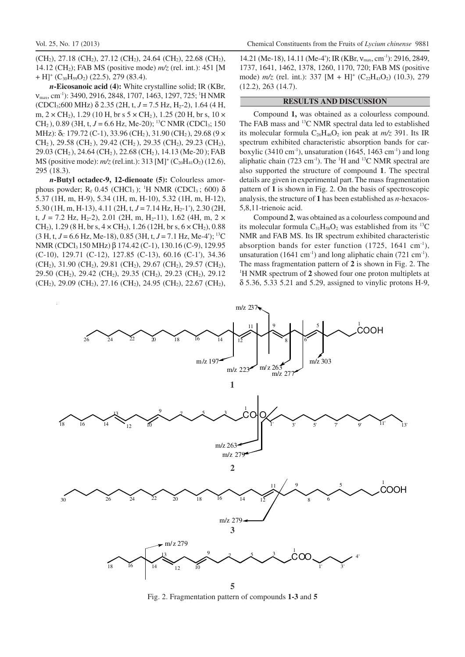$(CH<sub>2</sub>), 27.18$  (CH<sub>2</sub>), 27.12 (CH<sub>2</sub>), 24.64 (CH<sub>2</sub>), 22.68 (CH<sub>2</sub>), 14.12 (CH2); FAB MS (positive mode) *m/z* (rel. int.): 451 [M  $+ H$ ]<sup>+</sup> (C<sub>30</sub>H<sub>59</sub>O<sub>2</sub>) (22.5), 279 (83.4).

*n***-Eicosanoic acid (4):** White crystalline solid; IR (KBr,  $V_{\text{max}}$ , cm<sup>-1</sup>): 3490, 2916, 2848, 1707, 1463, 1297, 725; <sup>1</sup>H NMR  $(CDCl<sub>3</sub>;600 MHz)$   $\delta$  2.35 (2H, t, J = 7.5 Hz, H<sub>2</sub>-2), 1.64 (4 H, m,  $2 \times CH_2$ ), 1.29 (10 H, br s  $5 \times CH_2$ ), 1.25 (20 H, br s, 10  $\times$ CH<sub>2</sub>), 0.89 (3H, t,  $J = 6.6$  Hz, Me-20); <sup>13</sup>C NMR (CDCl<sub>3</sub>; 150) MHz):  $\delta_c$  179.72 (C-1), 33.96 (CH<sub>2</sub>), 31.90 (CH<sub>2</sub>), 29.68 (9  $\times$  $CH<sub>2</sub>$ ), 29.58 (CH<sub>2</sub>), 29.42 (CH<sub>2</sub>), 29.35 (CH<sub>2</sub>), 29.23 (CH<sub>2</sub>), 29.03 (CH<sub>2</sub>), 24.64 (CH<sub>2</sub>), 22.68 (CH<sub>2</sub>), 14.13 (Me-20); FAB MS (positive mode):  $m/z$  (rel.int.): 313 [M]<sup>+</sup> (C<sub>20</sub>H<sub>41</sub>O<sub>2</sub>) (12.6), 295 (18.3).

*n***-Butyl octadec-9, 12-dienoate (5):** Colourless amorphous powder;  $R_f$  0.45 (CHCl<sub>3</sub>); <sup>1</sup>H NMR (CDCl<sub>3</sub>; 600) δ 5.37 (1H, m, H-9), 5.34 (1H, m, H-10), 5.32 (1H, m, H-12), 5.30 (1H, m, H-13), 4.11 (2H, t,  $J = 7.14$  Hz,  $H_2$ -1'), 2.30 (2H, t,  $J = 7.2$  Hz, H<sub>2</sub>-2), 2.01 (2H, m, H<sub>2</sub>-11), 1.62 (4H, m, 2  $\times$ CH<sub>2</sub>), 1.29 (8 H, br s,  $4 \times$  CH<sub>2</sub>), 1.26 (12H, br s,  $6 \times$  CH<sub>2</sub>), 0.88  $(3 H, t, J = 6.6 Hz, Me-18)$ , 0.85 (3H, t,  $J = 7.1 Hz, Me-4$ ); <sup>13</sup>C NMR (CDCl<sub>3</sub>150 MHz) β 174.42 (C-1), 130.16 (C-9), 129.95 (C-10), 129.71 (C-12), 127.85 (C-13), 60.16 (C-1'), 34.36  $(CH<sub>2</sub>), 31.90 (CH<sub>2</sub>), 29.81 (CH<sub>2</sub>), 29.67 (CH<sub>2</sub>), 29.57 (CH<sub>2</sub>),$ 29.50 (CH2), 29.42 (CH2), 29.35 (CH2), 29.23 (CH2), 29.12 (CH<sub>2</sub>), 29.09 (CH<sub>2</sub>), 27.16 (CH<sub>2</sub>), 24.95 (CH<sub>2</sub>), 22.67 (CH<sub>2</sub>),

14.21 (Me-18), 14.11 (Me-4'); IR (KBr,  $v_{\text{max}}$ , cm<sup>-1</sup>): 2916, 2849, 1737, 1641, 1462, 1378, 1260, 1170, 720; FAB MS (positive mode)  $m/z$  (rel. int.): 337 [M + H]<sup>+</sup> (C<sub>22</sub>H<sub>43</sub>O<sub>2</sub>) (10.3), 279 (12.2), 263 (14.7).

# **RESULTS AND DISCUSSION**

Compound **1,** was obtained as a colourless compound. The FAB mass and <sup>13</sup>C NMR spectral data led to established its molecular formula  $C_{26}H_{46}O_2$  ion peak at  $m/z$  391. Its IR spectrum exhibited characteristic absorption bands for carboxylic (3410 cm<sup>-1</sup>), unsaturation (1645, 1463 cm<sup>-1</sup>) and long aliphatic chain (723 cm<sup>-1</sup>). The <sup>1</sup>H and <sup>13</sup>C NMR spectral are also supported the structure of compound **1**. The spectral details are given in experimental part. The mass fragmentation pattern of **1** is shown in Fig. 2. On the basis of spectroscopic analysis, the structure of **1** has been established as *n*-hexacos-5,8,11-trienoic acid.

Compound **2**, was obtained as a colourless compound and its molecular formula  $C_{31}H_{58}O_2$  was established from its <sup>13</sup>C NMR and FAB MS. Its IR spectrum exhibited characteristic absorption bands for ester function  $(1725, 1641 \text{ cm}^{-1})$ , unsaturation (1641 cm<sup>-1</sup>) and long aliphatic chain (721 cm<sup>-1</sup>). The mass fragmentation pattern of **2** is shown in Fig. 2. The <sup>1</sup>H NMR spectrum of **2** showed four one proton multiplets at δ 5.36, 5.33 5.21 and 5.29, assigned to vinylic protons H-9,



Fig. 2. Fragmentation pattern of compounds **1-3** and **5**